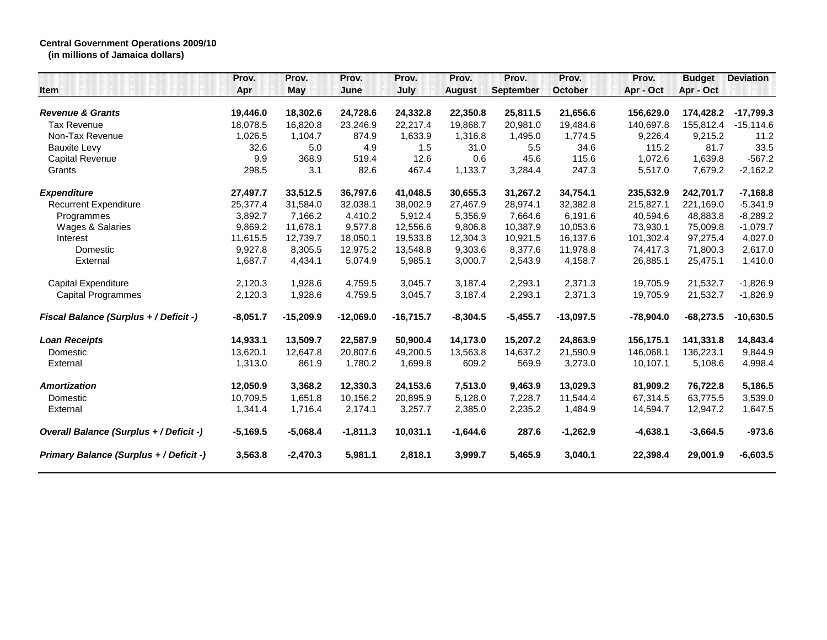## **Central Government Operations 2009/10**

**(in millions of Jamaica dollars)**

| Item                                    | Prov.<br>Apr | Prov.<br><b>May</b> | Prov.<br>June | Prov.<br>July | Prov.<br><b>August</b> | Prov.<br><b>September</b> | Prov.<br>October | Prov.<br>Apr - Oct | <b>Budget</b><br>Apr - Oct | <b>Deviation</b> |
|-----------------------------------------|--------------|---------------------|---------------|---------------|------------------------|---------------------------|------------------|--------------------|----------------------------|------------------|
|                                         |              |                     |               |               |                        |                           |                  |                    |                            |                  |
| <b>Revenue &amp; Grants</b>             | 19,446.0     | 18,302.6            | 24,728.6      | 24,332.8      | 22,350.8               | 25,811.5                  | 21,656.6         | 156,629.0          | 174,428.2                  | $-17,799.3$      |
| <b>Tax Revenue</b>                      | 18.078.5     | 16,820.8            | 23,246.9      | 22,217.4      | 19.868.7               | 20.981.0                  | 19,484.6         | 140.697.8          | 155.812.4                  | $-15,114.6$      |
| Non-Tax Revenue                         | 1,026.5      | 1,104.7             | 874.9         | 1,633.9       | 1,316.8                | 1,495.0                   | 1,774.5          | 9,226.4            | 9,215.2                    | 11.2             |
| <b>Bauxite Levy</b>                     | 32.6         | 5.0                 | 4.9           | 1.5           | 31.0                   | 5.5                       | 34.6             | 115.2              | 81.7                       | 33.5             |
| <b>Capital Revenue</b>                  | 9.9          | 368.9               | 519.4         | 12.6          | 0.6                    | 45.6                      | 115.6            | 1.072.6            | 1,639.8                    | $-567.2$         |
| Grants                                  | 298.5        | 3.1                 | 82.6          | 467.4         | 1,133.7                | 3,284.4                   | 247.3            | 5,517.0            | 7,679.2                    | $-2,162.2$       |
| <b>Expenditure</b>                      | 27,497.7     | 33,512.5            | 36,797.6      | 41,048.5      | 30,655.3               | 31,267.2                  | 34,754.1         | 235,532.9          | 242,701.7                  | $-7,168.8$       |
| <b>Recurrent Expenditure</b>            | 25,377.4     | 31,584.0            | 32,038.1      | 38,002.9      | 27,467.9               | 28,974.1                  | 32,382.8         | 215,827.1          | 221,169.0                  | $-5,341.9$       |
| Programmes                              | 3,892.7      | 7,166.2             | 4,410.2       | 5,912.4       | 5,356.9                | 7,664.6                   | 6,191.6          | 40,594.6           | 48,883.8                   | $-8,289.2$       |
| Wages & Salaries                        | 9,869.2      | 11,678.1            | 9,577.8       | 12,556.6      | 9,806.8                | 10,387.9                  | 10,053.6         | 73,930.1           | 75,009.8                   | $-1,079.7$       |
| Interest                                | 11,615.5     | 12,739.7            | 18,050.1      | 19,533.8      | 12,304.3               | 10,921.5                  | 16,137.6         | 101,302.4          | 97,275.4                   | 4,027.0          |
| Domestic                                | 9,927.8      | 8,305.5             | 12,975.2      | 13,548.8      | 9,303.6                | 8,377.6                   | 11,978.8         | 74,417.3           | 71,800.3                   | 2,617.0          |
| External                                | 1,687.7      | 4,434.1             | 5,074.9       | 5,985.1       | 3,000.7                | 2,543.9                   | 4,158.7          | 26,885.1           | 25,475.1                   | 1,410.0          |
| <b>Capital Expenditure</b>              | 2,120.3      | 1,928.6             | 4,759.5       | 3,045.7       | 3,187.4                | 2,293.1                   | 2,371.3          | 19,705.9           | 21,532.7                   | $-1,826.9$       |
| <b>Capital Programmes</b>               | 2,120.3      | 1,928.6             | 4,759.5       | 3,045.7       | 3,187.4                | 2,293.1                   | 2,371.3          | 19,705.9           | 21,532.7                   | $-1,826.9$       |
| Fiscal Balance (Surplus + / Deficit -)  | $-8,051.7$   | $-15,209.9$         | $-12,069.0$   | $-16,715.7$   | $-8,304.5$             | $-5,455.7$                | $-13,097.5$      | $-78,904.0$        | $-68,273.5$                | $-10,630.5$      |
| <b>Loan Receipts</b>                    | 14,933.1     | 13,509.7            | 22,587.9      | 50,900.4      | 14,173.0               | 15,207.2                  | 24,863.9         | 156,175.1          | 141,331.8                  | 14,843.4         |
| Domestic                                | 13,620.1     | 12,647.8            | 20,807.6      | 49,200.5      | 13,563.8               | 14,637.2                  | 21,590.9         | 146.068.1          | 136,223.1                  | 9,844.9          |
| External                                | 1,313.0      | 861.9               | 1,780.2       | 1,699.8       | 609.2                  | 569.9                     | 3,273.0          | 10,107.1           | 5,108.6                    | 4,998.4          |
| <b>Amortization</b>                     | 12,050.9     | 3,368.2             | 12,330.3      | 24,153.6      | 7,513.0                | 9,463.9                   | 13,029.3         | 81,909.2           | 76,722.8                   | 5,186.5          |
| Domestic                                | 10.709.5     | 1,651.8             | 10,156.2      | 20,895.9      | 5,128.0                | 7,228.7                   | 11,544.4         | 67.314.5           | 63.775.5                   | 3,539.0          |
| External                                | 1,341.4      | 1,716.4             | 2,174.1       | 3,257.7       | 2,385.0                | 2,235.2                   | 1,484.9          | 14,594.7           | 12,947.2                   | 1,647.5          |
| Overall Balance (Surplus + / Deficit -) | $-5,169.5$   | $-5,068.4$          | $-1,811.3$    | 10,031.1      | $-1,644.6$             | 287.6                     | $-1,262.9$       | $-4,638.1$         | $-3,664.5$                 | $-973.6$         |
| Primary Balance (Surplus + / Deficit -) | 3,563.8      | $-2,470.3$          | 5,981.1       | 2,818.1       | 3,999.7                | 5,465.9                   | 3,040.1          | 22,398.4           | 29,001.9                   | $-6,603.5$       |